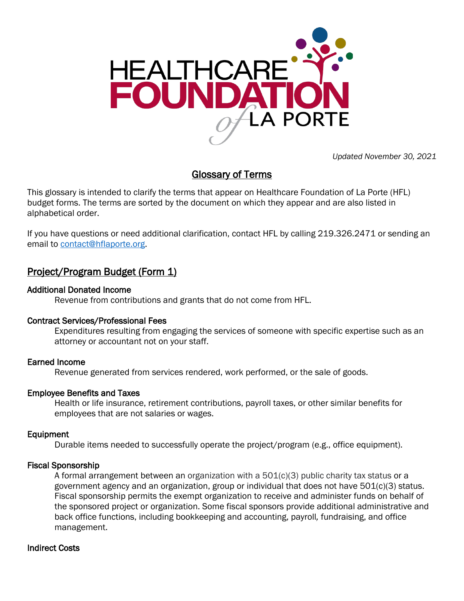

*Updated November 30, 2021*

# Glossary of Terms

This glossary is intended to clarify the terms that appear on Healthcare Foundation of La Porte (HFL) budget forms. The terms are sorted by the document on which they appear and are also listed in alphabetical order.

If you have questions or need additional clarification, contact HFL by calling 219.326.2471 or sending an email to [contact@hflaporte.org.](mailto:contact@hflaporte.org)

# Project/Program Budget (Form 1)

# Additional Donated Income

Revenue from contributions and grants that do not come from HFL.

# Contract Services/Professional Fees

Expenditures resulting from engaging the services of someone with specific expertise such as an attorney or accountant not on your staff.

# Earned Income

Revenue generated from services rendered, work performed, or the sale of goods.

# Employee Benefits and Taxes

Health or life insurance, retirement contributions, payroll taxes, or other similar benefits for employees that are not salaries or wages.

## Equipment

Durable items needed to successfully operate the project/program (e.g., office equipment).

# Fiscal Sponsorship

A formal arrangement between an organization with a 501(c)(3) public charity tax status or a government agency and an organization, group or individual that does not have 501(c)(3) status. Fiscal sponsorship permits the exempt organization to receive and administer funds on behalf of the sponsored project or organization. Some fiscal sponsors provide additional administrative and back office functions, including bookkeeping and accounting, payroll*,* fundraising, and office management.

# Indirect Costs